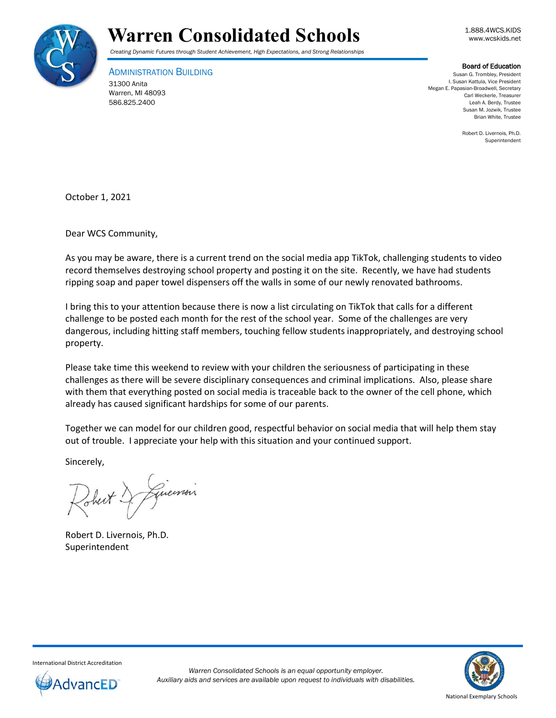



*Creating Dynamic Futures through Student Achievement, High Expectations, and Strong Relationships*

ADMINISTRATION BUILDING 31300 Anita Warren, MI 48093

586.825.2400

## Board of Education

Susan G. Trombley, President I. Susan Kattula, Vice President Megan E. Papasian-Broadwell, Secretary Carl Weckerle, Treasurer Leah A. Berdy, Trustee Susan M. Jozwik, Trustee Brian White, Trustee

> Robert D. Livernois, Ph.D. Superintendent

October 1, 2021

Dear WCS Community,

As you may be aware, there is a current trend on the social media app TikTok, challenging students to video record themselves destroying school property and posting it on the site. Recently, we have had students ripping soap and paper towel dispensers off the walls in some of our newly renovated bathrooms.

I bring this to your attention because there is now a list circulating on TikTok that calls for a different challenge to be posted each month for the rest of the school year. Some of the challenges are very dangerous, including hitting staff members, touching fellow students inappropriately, and destroying school property.

Please take time this weekend to review with your children the seriousness of participating in these challenges as there will be severe disciplinary consequences and criminal implications. Also, please share with them that everything posted on social media is traceable back to the owner of the cell phone, which already has caused significant hardships for some of our parents.

Together we can model for our children good, respectful behavior on social media that will help them stay out of trouble. I appreciate your help with this situation and your continued support.

Sincerely,

Guerrais Sheit.

Robert D. Livernois, Ph.D. Superintendent



International District Accreditation